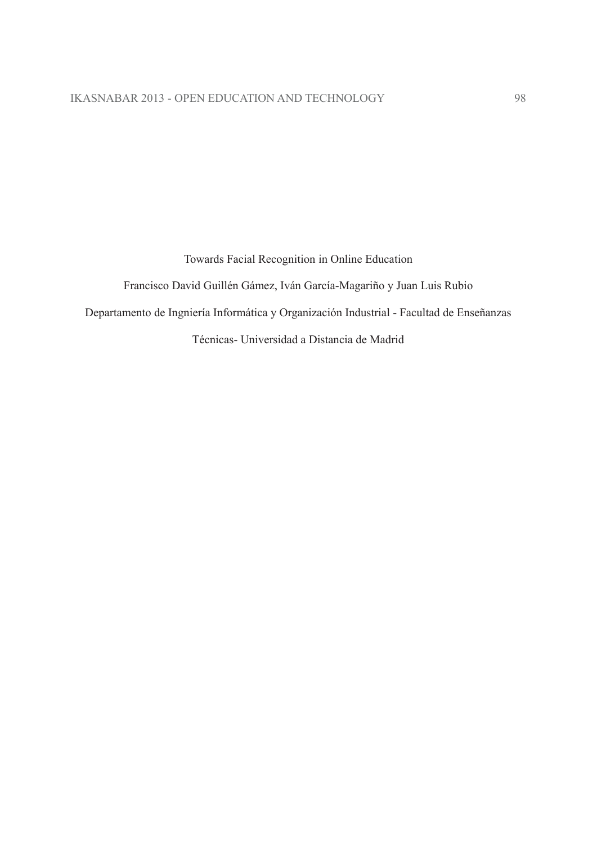Towards Facial Recognition in Online Education

Francisco David Guillén Gámez, Iván García-Magariño y Juan Luis Rubio

Departamento de Ingniería Informática y Organización Industrial - Facultad de Enseñanzas

Técnicas- Universidad a Distancia de Madrid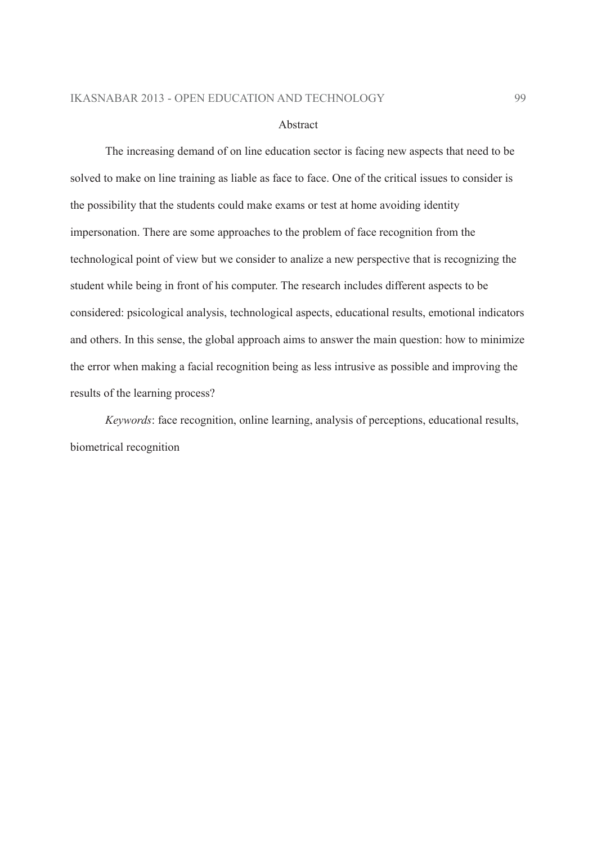#### Abstract

The increasing demand of on line education sector is facing new aspects that need to be solved to make on line training as liable as face to face. One of the critical issues to consider is the possibility that the students could make exams or test at home avoiding identity impersonation. There are some approaches to the problem of face recognition from the technological point of view but we consider to analize a new perspective that is recognizing the student while being in front of his computer. The research includes different aspects to be considered: psicological analysis, technological aspects, educational results, emotional indicators and others. In this sense, the global approach aims to answer the main question: how to minimize the error when making a facial recognition being as less intrusive as possible and improving the results of the learning process?

*Keywords:* face recognition, online learning, analysis of perceptions, educational results, biometrical recognition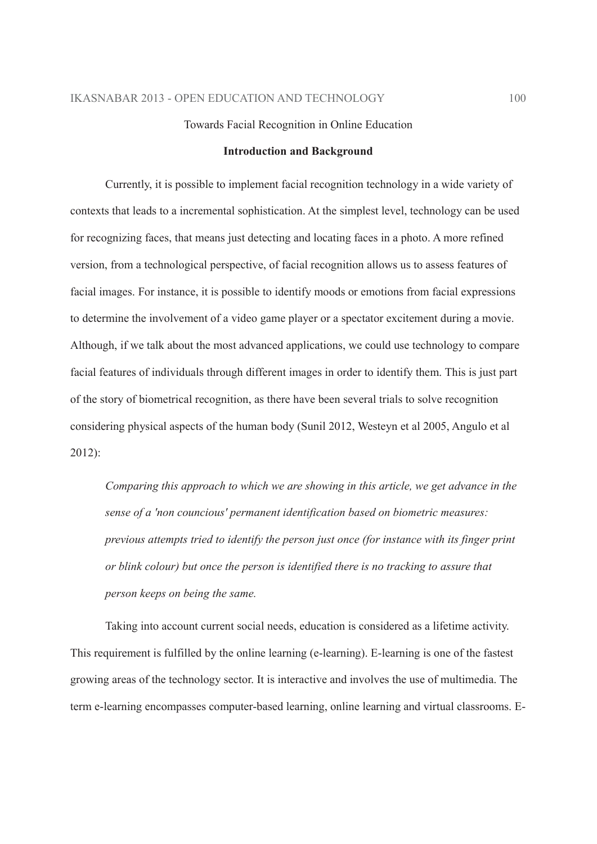### Towards Facial Recognition in Online Education

### **Introduction and Background**

Currently, it is possible to implement facial recognition technology in a wide variety of contexts that leads to a incremental sophistication. At the simplest level, technology can be used for recognizing faces, that means just detecting and locating faces in a photo. A more refined version, from a technological perspective, of facial recognition allows us to assess features of facial images. For instance, it is possible to identify moods or emotions from facial expressions to determine the involvement of a video game player or a spectator excitement during a movie. Although, if we talk about the most advanced applications, we could use technology to compare facial features of individuals through different images in order to identify them. This is just part of the story of biometrical recognition, as there have been several trials to solve recognition considering physical aspects of the human body (Sunil 2012, Westeyn et al 2005, Angulo et al  $2012$ :

Comparing this approach to which we are showing in this article, we get advance in the sense of a 'non councious' permanent identification based on biometric measures: previous attempts tried to identify the person just once (for instance with its finger print or blink colour) but once the person is identified there is no tracking to assure that person keeps on being the same.

Taking into account current social needs, education is considered as a lifetime activity. This requirement is fulfilled by the online learning (e-learning). E-learning is one of the fastest growing areas of the technology sector. It is interactive and involves the use of multimedia. The term e-learning encompasses computer-based learning, online learning and virtual classrooms. E-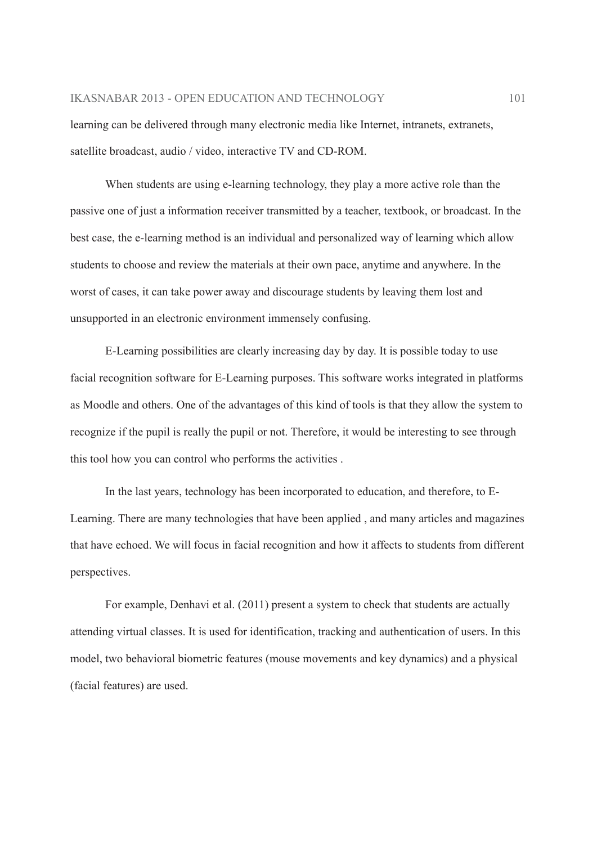learning can be delivered through many electronic media like Internet, intranets, extranets, satellite broadcast, audio / video, interactive TV and CD-ROM.

When students are using e-learning technology, they play a more active role than the passive one of just a information receiver transmitted by a teacher, textbook, or broadcast. In the best case, the e-learning method is an individual and personalized way of learning which allow students to choose and review the materials at their own pace, anytime and anywhere. In the worst of cases, it can take power away and discourage students by leaving them lost and unsupported in an electronic environment immensely confusing.

E-Learning possibilities are clearly increasing day by day. It is possible today to use facial recognition software for E-Learning purposes. This software works integrated in platforms as Moodle and others. One of the advantages of this kind of tools is that they allow the system to recognize if the pupil is really the pupil or not. Therefore, it would be interesting to see through this tool how you can control who performs the activities.

In the last years, technology has been incorporated to education, and therefore, to E-Learning. There are many technologies that have been applied, and many articles and magazines that have echoed. We will focus in facial recognition and how it affects to students from different perspectives.

For example, Denhavi et al. (2011) present a system to check that students are actually attending virtual classes. It is used for identification, tracking and authentication of users. In this model, two behavioral biometric features (mouse movements and key dynamics) and a physical (facial features) are used.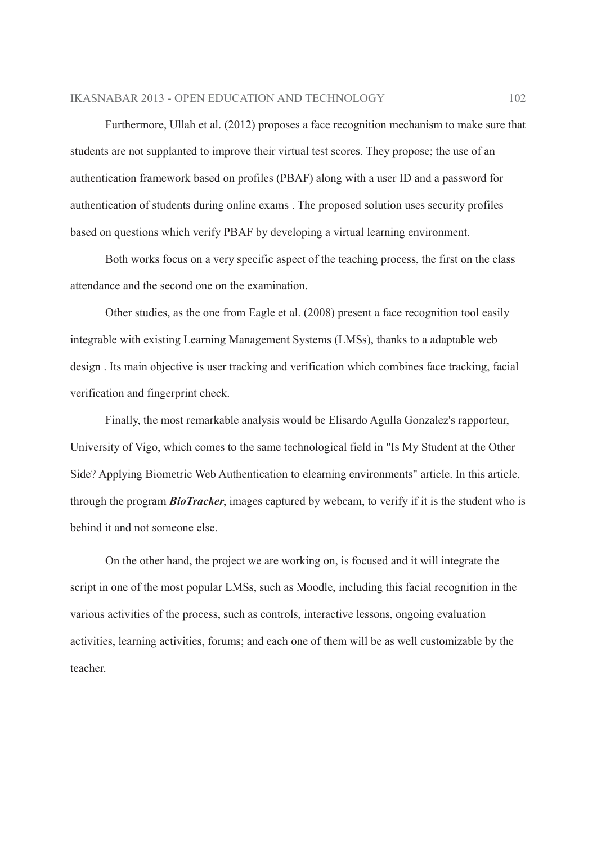Furthermore, Ullah et al. (2012) proposes a face recognition mechanism to make sure that students are not supplanted to improve their virtual test scores. They propose; the use of an authentication framework based on profiles (PBAF) along with a user ID and a password for authentication of students during online exams. The proposed solution uses security profiles based on questions which verify PBAF by developing a virtual learning environment.

Both works focus on a very specific aspect of the teaching process, the first on the class attendance and the second one on the examination.

Other studies, as the one from Eagle et al. (2008) present a face recognition tool easily integrable with existing Learning Management Systems (LMSs), thanks to a adaptable web design. Its main objective is user tracking and verification which combines face tracking, facial verification and fingerprint check.

Finally, the most remarkable analysis would be Elisardo Agulla Gonzalez's rapporteur, University of Vigo, which comes to the same technological field in "Is My Student at the Other Side? Applying Biometric Web Authentication to elearning environments" article. In this article, through the program **BioTracker**, images captured by webcam, to verify if it is the student who is behind it and not someone else.

On the other hand, the project we are working on, is focused and it will integrate the script in one of the most popular LMSs, such as Moodle, including this facial recognition in the various activities of the process, such as controls, interactive lessons, ongoing evaluation activities, learning activities, forums; and each one of them will be as well customizable by the teacher.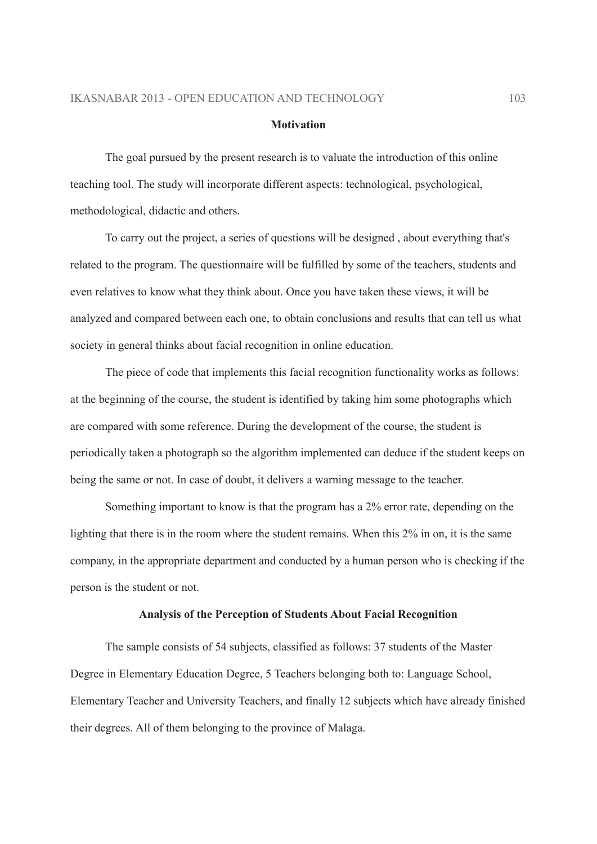#### **Motivation**

The goal pursued by the present research is to valuate the introduction of this online teaching tool. The study will incorporate different aspects: technological, psychological, methodological, didactic and others.

To carry out the project, a series of questions will be designed, about everything that's related to the program. The questionnaire will be fulfilled by some of the teachers, students and even relatives to know what they think about. Once you have taken these views, it will be analyzed and compared between each one, to obtain conclusions and results that can tell us what society in general thinks about facial recognition in online education.

The piece of code that implements this facial recognition functionality works as follows: at the beginning of the course, the student is identified by taking him some photographs which are compared with some reference. During the development of the course, the student is periodically taken a photograph so the algorithm implemented can deduce if the student keeps on being the same or not. In case of doubt, it delivers a warning message to the teacher.

Something important to know is that the program has a 2% error rate, depending on the lighting that there is in the room where the student remains. When this 2% in on, it is the same company, in the appropriate department and conducted by a human person who is checking if the person is the student or not.

## Analysis of the Perception of Students About Facial Recognition

The sample consists of 54 subjects, classified as follows: 37 students of the Master Degree in Elementary Education Degree, 5 Teachers belonging both to: Language School, Elementary Teacher and University Teachers, and finally 12 subjects which have already finished their degrees. All of them belonging to the province of Malaga.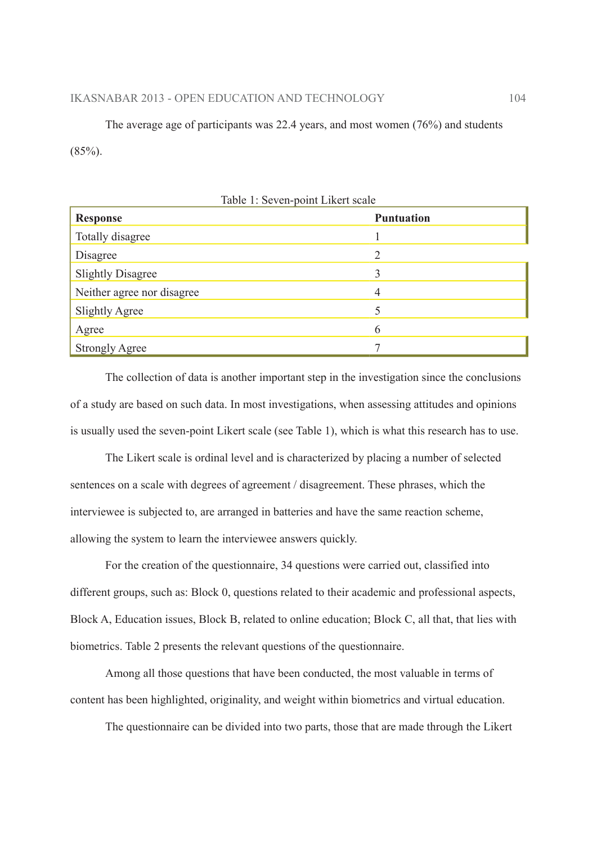The average age of participants was 22.4 years, and most women  $(76%)$  and students  $(85\%)$ .

| Table 1: Seven-point Likert scale |                   |  |  |  |
|-----------------------------------|-------------------|--|--|--|
| <b>Response</b>                   | <b>Puntuation</b> |  |  |  |
| Totally disagree                  |                   |  |  |  |
| Disagree                          | $\overline{2}$    |  |  |  |
| <b>Slightly Disagree</b>          |                   |  |  |  |
| Neither agree nor disagree        | 4                 |  |  |  |
| <b>Slightly Agree</b>             | 5                 |  |  |  |
| Agree                             | 6                 |  |  |  |
| <b>Strongly Agree</b>             |                   |  |  |  |

The collection of data is another important step in the investigation since the conclusions of a study are based on such data. In most investigations, when assessing attitudes and opinions is usually used the seven-point Likert scale (see Table 1), which is what this research has to use.

The Likert scale is ordinal level and is characterized by placing a number of selected sentences on a scale with degrees of agreement / disagreement. These phrases, which the interviewee is subjected to, are arranged in batteries and have the same reaction scheme, allowing the system to learn the interviewee answers quickly.

For the creation of the questionnaire, 34 questions were carried out, classified into different groups, such as: Block 0, questions related to their academic and professional aspects, Block A, Education issues, Block B, related to online education; Block C, all that, that lies with biometrics. Table 2 presents the relevant questions of the questionnaire.

Among all those questions that have been conducted, the most valuable in terms of content has been highlighted, originality, and weight within biometrics and virtual education.

The questionnaire can be divided into two parts, those that are made through the Likert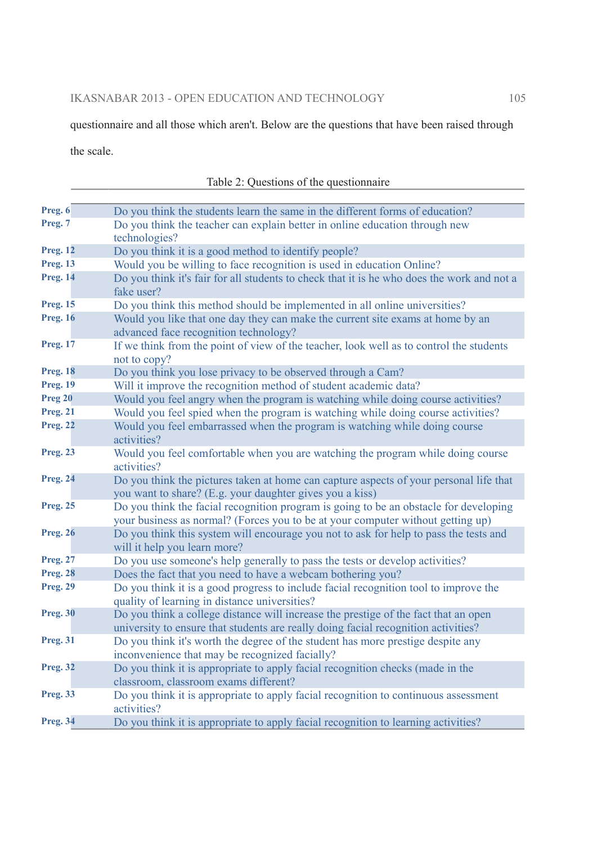questionnaire and all those which aren't. Below are the questions that have been raised through

the scale.

| Preg. 6         | Do you think the students learn the same in the different forms of education?                                                                                             |
|-----------------|---------------------------------------------------------------------------------------------------------------------------------------------------------------------------|
| Preg. 7         | Do you think the teacher can explain better in online education through new<br>technologies?                                                                              |
| <b>Preg. 12</b> | Do you think it is a good method to identify people?                                                                                                                      |
| <b>Preg. 13</b> | Would you be willing to face recognition is used in education Online?                                                                                                     |
| <b>Preg. 14</b> | Do you think it's fair for all students to check that it is he who does the work and not a<br>fake user?                                                                  |
| <b>Preg. 15</b> | Do you think this method should be implemented in all online universities?                                                                                                |
| <b>Preg. 16</b> | Would you like that one day they can make the current site exams at home by an<br>advanced face recognition technology?                                                   |
| <b>Preg. 17</b> | If we think from the point of view of the teacher, look well as to control the students<br>not to copy?                                                                   |
| <b>Preg. 18</b> | Do you think you lose privacy to be observed through a Cam?                                                                                                               |
| <b>Preg. 19</b> | Will it improve the recognition method of student academic data?                                                                                                          |
| Preg 20         | Would you feel angry when the program is watching while doing course activities?                                                                                          |
| <b>Preg. 21</b> | Would you feel spied when the program is watching while doing course activities?                                                                                          |
| <b>Preg. 22</b> | Would you feel embarrassed when the program is watching while doing course<br>activities?                                                                                 |
| <b>Preg. 23</b> | Would you feel comfortable when you are watching the program while doing course<br>activities?                                                                            |
| <b>Preg. 24</b> | Do you think the pictures taken at home can capture aspects of your personal life that<br>you want to share? (E.g. your daughter gives you a kiss)                        |
| <b>Preg. 25</b> | Do you think the facial recognition program is going to be an obstacle for developing<br>your business as normal? (Forces you to be at your computer without getting up)  |
| <b>Preg. 26</b> | Do you think this system will encourage you not to ask for help to pass the tests and<br>will it help you learn more?                                                     |
| <b>Preg. 27</b> | Do you use someone's help generally to pass the tests or develop activities?                                                                                              |
| <b>Preg. 28</b> | Does the fact that you need to have a webcam bothering you?                                                                                                               |
| <b>Preg. 29</b> | Do you think it is a good progress to include facial recognition tool to improve the<br>quality of learning in distance universities?                                     |
| <b>Preg. 30</b> | Do you think a college distance will increase the prestige of the fact that an open<br>university to ensure that students are really doing facial recognition activities? |
| <b>Preg. 31</b> | Do you think it's worth the degree of the student has more prestige despite any<br>inconvenience that may be recognized facially?                                         |
| <b>Preg. 32</b> | Do you think it is appropriate to apply facial recognition checks (made in the<br>classroom, classroom exams different?                                                   |
| <b>Preg. 33</b> | Do you think it is appropriate to apply facial recognition to continuous assessment<br>activities?                                                                        |
| <b>Preg. 34</b> | Do you think it is appropriate to apply facial recognition to learning activities?                                                                                        |

| Table 2: Questions of the questionnaire |  |
|-----------------------------------------|--|
|                                         |  |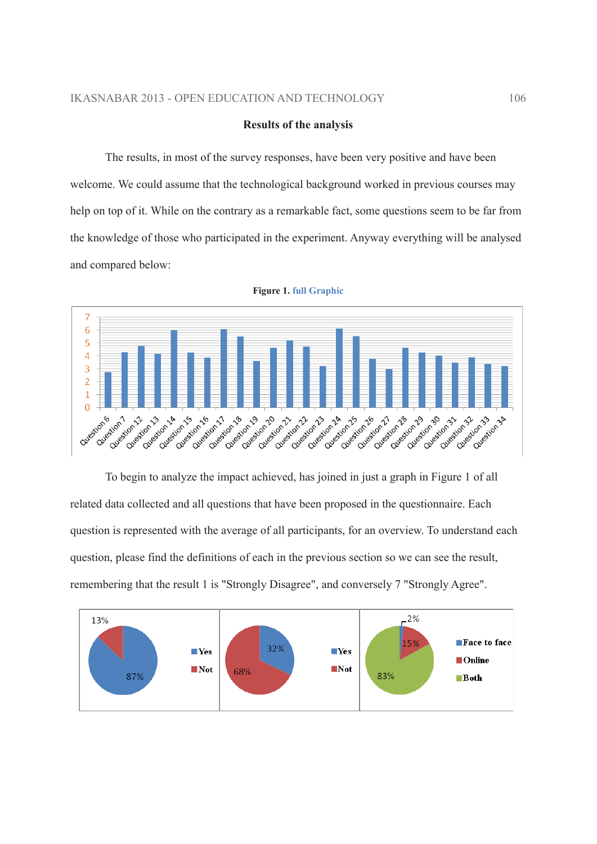### **Results of the analysis**

The results, in most of the survey responses, have been very positive and have been welcome. We could assume that the technological background worked in previous courses may help on top of it. While on the contrary as a remarkable fact, some questions seem to be far from the knowledge of those who participated in the experiment. Anyway everything will be analysed and compared below:



**Figure 1. full Graphic** 

To begin to analyze the impact achieved, has joined in just a graph in Figure 1 of all related data collected and all questions that have been proposed in the questionnaire. Each question is represented with the average of all participants, for an overview. To understand each question, please find the definitions of each in the previous section so we can see the result, remembering that the result 1 is "Strongly Disagree", and conversely 7 "Strongly Agree".

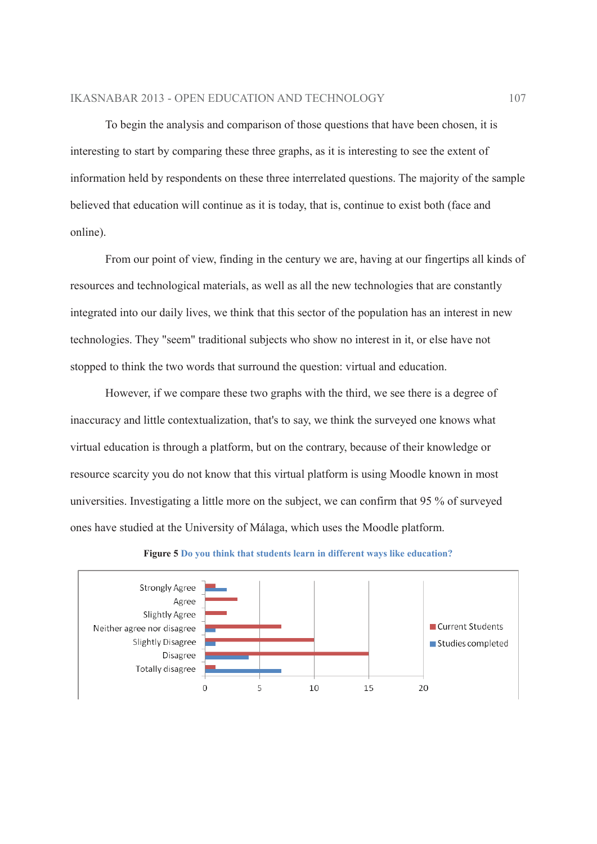### **IKASNABAR 2013 - OPEN EDUCATION AND TECHNOLOGY**

To begin the analysis and comparison of those questions that have been chosen, it is interesting to start by comparing these three graphs, as it is interesting to see the extent of information held by respondents on these three interrelated questions. The majority of the sample believed that education will continue as it is today, that is, continue to exist both (face and online).

From our point of view, finding in the century we are, having at our fingertips all kinds of resources and technological materials, as well as all the new technologies that are constantly integrated into our daily lives, we think that this sector of the population has an interest in new technologies. They "seem" traditional subjects who show no interest in it, or else have not stopped to think the two words that surround the question: virtual and education.

However, if we compare these two graphs with the third, we see there is a degree of inaccuracy and little contextualization, that's to say, we think the surveyed one knows what virtual education is through a platform, but on the contrary, because of their knowledge or resource scarcity you do not know that this virtual platform is using Moodle known in most universities. Investigating a little more on the subject, we can confirm that 95 % of surveyed ones have studied at the University of Málaga, which uses the Moodle platform.



#### Figure 5 Do you think that students learn in different ways like education?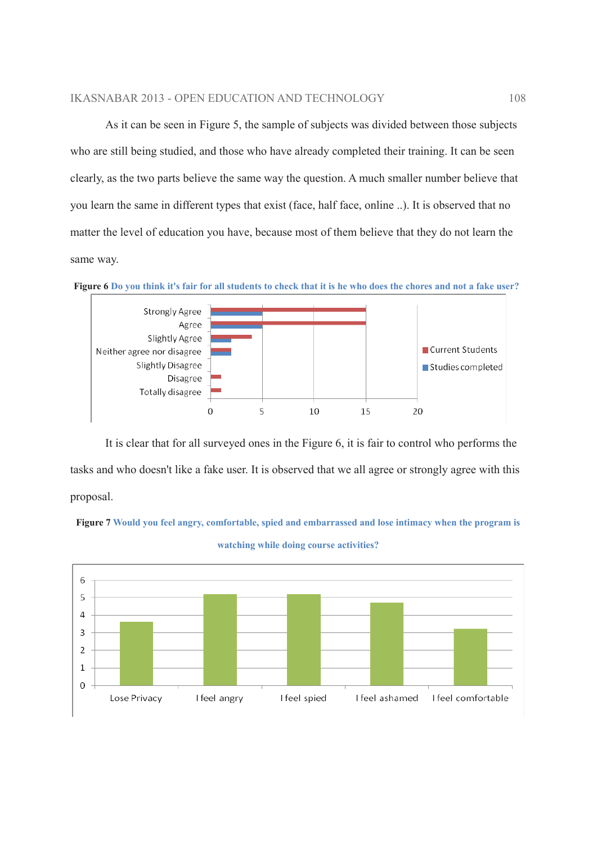As it can be seen in Figure 5, the sample of subjects was divided between those subjects who are still being studied, and those who have already completed their training. It can be seen clearly, as the two parts believe the same way the question. A much smaller number believe that you learn the same in different types that exist (face, half face, online ...). It is observed that no matter the level of education you have, because most of them believe that they do not learn the same way.



Figure 6 Do you think it's fair for all students to check that it is he who does the chores and not a fake user?

It is clear that for all surveyed ones in the Figure 6, it is fair to control who performs the tasks and who doesn't like a fake user. It is observed that we all agree or strongly agree with this proposal.



watching while doing course activities?

Figure 7 Would you feel angry, comfortable, spied and embarrassed and lose intimacy when the program is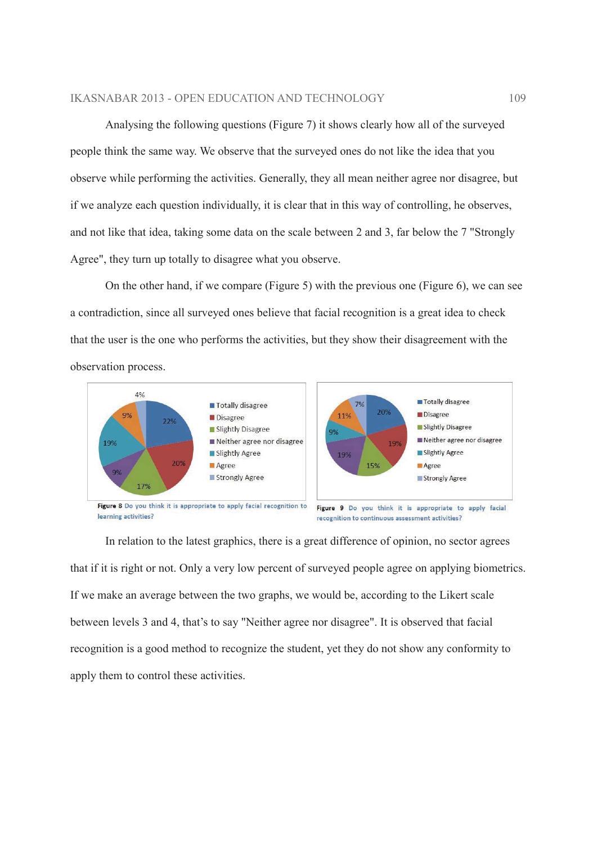Analysing the following questions (Figure 7) it shows clearly how all of the surveyed people think the same way. We observe that the surveyed ones do not like the idea that you observe while performing the activities. Generally, they all mean neither agree nor disagree, but if we analyze each question individually, it is clear that in this way of controlling, he observes, and not like that idea, taking some data on the scale between 2 and 3, far below the 7 "Strongly Agree", they turn up totally to disagree what you observe.

On the other hand, if we compare (Figure 5) with the previous one (Figure 6), we can see a contradiction, since all surveyed ones believe that facial recognition is a great idea to check that the user is the one who performs the activities, but they show their disagreement with the observation process.



In relation to the latest graphics, there is a great difference of opinion, no sector agrees that if it is right or not. Only a very low percent of surveyed people agree on applying biometrics. If we make an average between the two graphs, we would be, according to the Likert scale between levels 3 and 4, that's to say "Neither agree nor disagree". It is observed that facial recognition is a good method to recognize the student, yet they do not show any conformity to apply them to control these activities.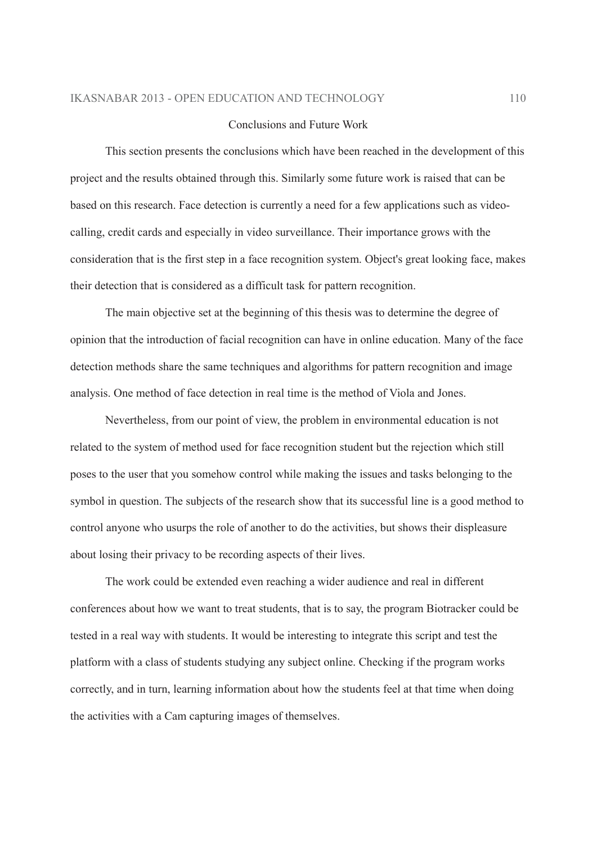#### Conclusions and Future Work

This section presents the conclusions which have been reached in the development of this project and the results obtained through this. Similarly some future work is raised that can be based on this research. Face detection is currently a need for a few applications such as videocalling, credit cards and especially in video surveillance. Their importance grows with the consideration that is the first step in a face recognition system. Object's great looking face, makes their detection that is considered as a difficult task for pattern recognition.

The main objective set at the beginning of this thesis was to determine the degree of opinion that the introduction of facial recognition can have in online education. Many of the face detection methods share the same techniques and algorithms for pattern recognition and image analysis. One method of face detection in real time is the method of Viola and Jones.

Nevertheless, from our point of view, the problem in environmental education is not related to the system of method used for face recognition student but the rejection which still poses to the user that you somehow control while making the issues and tasks belonging to the symbol in question. The subjects of the research show that its successful line is a good method to control anyone who usurps the role of another to do the activities, but shows their displeasure about losing their privacy to be recording aspects of their lives.

The work could be extended even reaching a wider audience and real in different conferences about how we want to treat students, that is to say, the program Biotracker could be tested in a real way with students. It would be interesting to integrate this script and test the platform with a class of students studying any subject online. Checking if the program works correctly, and in turn, learning information about how the students feel at that time when doing the activities with a Cam capturing images of themselves.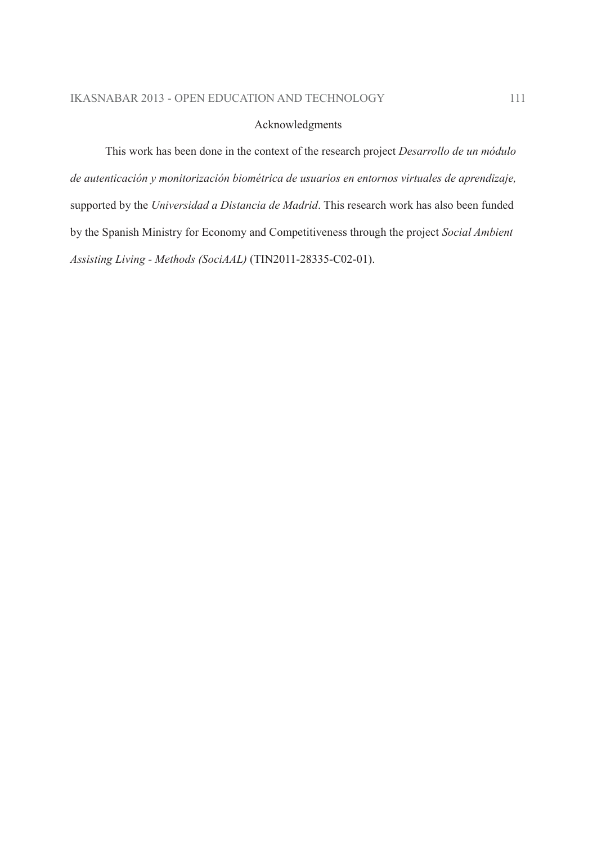# Acknowledgments

This work has been done in the context of the research project Desarrollo de un módulo de autenticación y monitorización biométrica de usuarios en entornos virtuales de aprendizaje, supported by the Universidad a Distancia de Madrid. This research work has also been funded by the Spanish Ministry for Economy and Competitiveness through the project Social Ambient Assisting Living - Methods (SociAAL) (TIN2011-28335-C02-01).